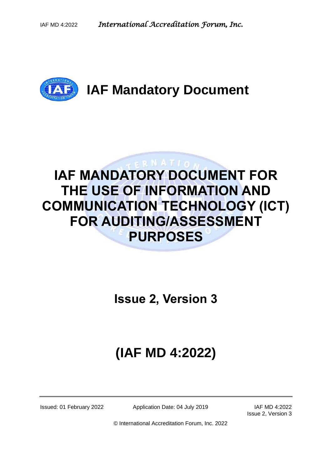

# **IAF MANDATORY DOCUMENT FOR THE USE OF INFORMATION AND COMMUNICATION TECHNOLOGY (ICT) FOR AUDITING/ASSESSMENT PURPOSES**

**Issue 2, Version 3**

# **(IAF MD 4:2022)**

Issued: 01 February 2022 Application Date: 04 July 2019 IAF MD 4:2022

Issue 2, Version 3

© International Accreditation Forum, Inc. 2022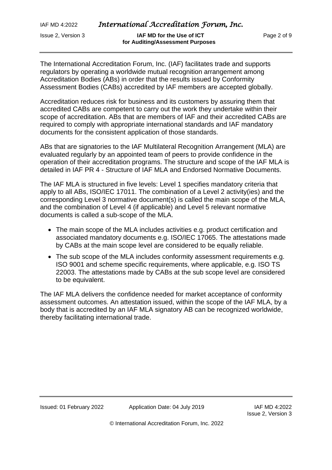Issue 2, Version 3 **IAF MD for the Use of ICT** Page 2 of 9  **for Auditing/Assessment Purposes**

The International Accreditation Forum, Inc. (IAF) facilitates trade and supports regulators by operating a worldwide mutual recognition arrangement among Accreditation Bodies (ABs) in order that the results issued by Conformity Assessment Bodies (CABs) accredited by IAF members are accepted globally.

Accreditation reduces risk for business and its customers by assuring them that accredited CABs are competent to carry out the work they undertake within their scope of accreditation. ABs that are members of IAF and their accredited CABs are required to comply with appropriate international standards and IAF mandatory documents for the consistent application of those standards.

ABs that are signatories to the IAF Multilateral Recognition Arrangement (MLA) are evaluated regularly by an appointed team of peers to provide confidence in the operation of their accreditation programs. The structure and scope of the IAF MLA is detailed in IAF PR 4 - Structure of IAF MLA and Endorsed Normative Documents.

The IAF MLA is structured in five levels: Level 1 specifies mandatory criteria that apply to all ABs, ISO/IEC 17011. The combination of a Level 2 activity(ies) and the corresponding Level 3 normative document(s) is called the main scope of the MLA, and the combination of Level 4 (if applicable) and Level 5 relevant normative documents is called a sub-scope of the MLA.

- The main scope of the MLA includes activities e.g. product certification and associated mandatory documents e.g. ISO/IEC 17065. The attestations made by CABs at the main scope level are considered to be equally reliable.
- The sub scope of the MLA includes conformity assessment requirements e.g. ISO 9001 and scheme specific requirements, where applicable, e.g. ISO TS 22003. The attestations made by CABs at the sub scope level are considered to be equivalent.

The IAF MLA delivers the confidence needed for market acceptance of conformity assessment outcomes. An attestation issued, within the scope of the IAF MLA, by a body that is accredited by an IAF MLA signatory AB can be recognized worldwide, thereby facilitating international trade.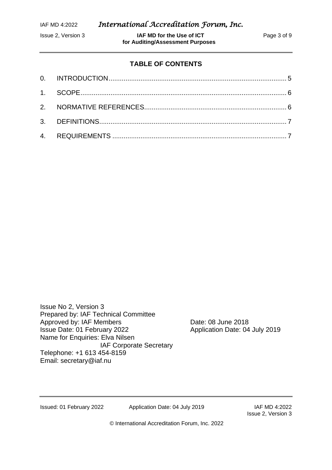**ISSUE 2, Version 3 IAF MD for the Use of ICT** Page 3 of 9  **for Auditing/Assessment Purposes**

# **TABLE OF CONTENTS**

Issue No 2, Version 3 Prepared by: IAF Technical Committee Approved by: IAF Members Date: 08 June 2018 Issue Date: 01 February 2022 Application Date: 04 July 2019 Name for Enquiries: Elva Nilsen IAF Corporate Secretary Telephone: +1 613 454-8159 Email: [secretary@iaf.nu](mailto:secretary@iaf.nu)

Issued: 01 February 2022 Application Date: 04 July 2019 IAF MD 4:2022

Issue 2, Version 3

© International Accreditation Forum, Inc. 2022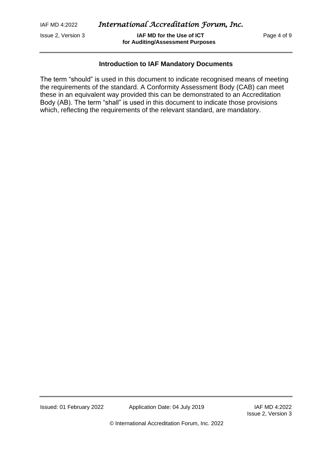**ISSUE 2, Version 3 IAF MD for the Use of ICT Page 4 of 9 for Auditing/Assessment Purposes**

#### **Introduction to IAF Mandatory Documents**

The term "should" is used in this document to indicate recognised means of meeting the requirements of the standard. A Conformity Assessment Body (CAB) can meet these in an equivalent way provided this can be demonstrated to an Accreditation Body (AB). The term "shall" is used in this document to indicate those provisions which, reflecting the requirements of the relevant standard, are mandatory.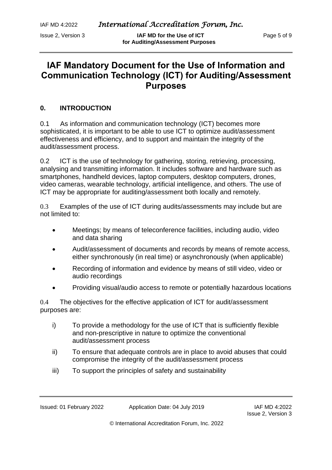**ISSUE 2, Version 3 IAF MD for the Use of ICT** Page 5 of 9  **for Auditing/Assessment Purposes**

# **IAF Mandatory Document for the Use of Information and Communication Technology (ICT) for Auditing/Assessment Purposes**

# <span id="page-4-0"></span>**0. INTRODUCTION**

0.1 As information and communication technology (ICT) becomes more sophisticated, it is important to be able to use ICT to optimize audit/assessment effectiveness and efficiency, and to support and maintain the integrity of the audit/assessment process.

0.2 ICT is the use of technology for gathering, storing, retrieving, processing, analysing and transmitting information. It includes software and hardware such as smartphones, handheld devices, laptop computers, desktop computers, drones, video cameras, wearable technology, artificial intelligence, and others. The use of ICT may be appropriate for auditing/assessment both locally and remotely.

0.3 Examples of the use of ICT during audits/assessments may include but are not limited to:

- Meetings; by means of teleconference facilities, including audio, video and data sharing
- Audit/assessment of documents and records by means of remote access, either synchronously (in real time) or asynchronously (when applicable)
- Recording of information and evidence by means of still video, video or audio recordings
- Providing visual/audio access to remote or potentially hazardous locations

0.4 The objectives for the effective application of ICT for audit/assessment purposes are:

- i) To provide a methodology for the use of ICT that is sufficiently flexible and non-prescriptive in nature to optimize the conventional audit/assessment process
- ii) To ensure that adequate controls are in place to avoid abuses that could compromise the integrity of the audit/assessment process
- iii) To support the principles of safety and sustainability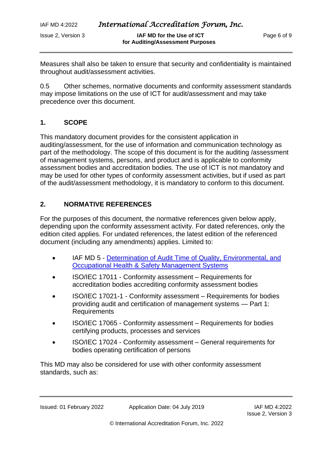Issue 2, Version 3 **IAF MD for the Use of ICT** Page 6 of 9  **for Auditing/Assessment Purposes**

Measures shall also be taken to ensure that security and confidentiality is maintained throughout audit/assessment activities.

0.5 Other schemes, normative documents and conformity assessment standards may impose limitations on the use of ICT for audit/assessment and may take precedence over this document.

#### <span id="page-5-0"></span>**1. SCOPE**

This mandatory document provides for the consistent application in auditing/assessment, for the use of information and communication technology as part of the methodology. The scope of this document is for the auditing /assessment of management systems, persons, and product and is applicable to conformity assessment bodies and accreditation bodies. The use of ICT is not mandatory and may be used for other types of conformity assessment activities, but if used as part of the audit/assessment methodology, it is mandatory to conform to this document.

### <span id="page-5-1"></span>**2. NORMATIVE REFERENCES**

For the purposes of this document, the normative references given below apply, depending upon the conformity assessment activity. For dated references, only the edition cited applies. For undated references, the latest edition of the referenced document (including any amendments) applies. Limited to:

- IAF MD 5 [Determination of Audit Time of Quality,](https://www.iaf.nu/iaf_system/uploads/documents/IAF_MD5_Issue_4_Version_2_11112019.pdf) Environmental, and [Occupational Health & Safety Management Systems](https://www.iaf.nu/iaf_system/uploads/documents/IAF_MD5_Issue_4_Version_2_11112019.pdf)
- ISO/IEC 17011 Conformity assessment Requirements for accreditation bodies accrediting conformity assessment bodies
- ISO/IEC 17021-1 Conformity assessment Requirements for bodies providing audit and certification of management systems — Part 1: Requirements
- ISO/IEC 17065 Conformity assessment Requirements for bodies certifying products, processes and services
- ISO/IEC 17024 Conformity assessment General requirements for bodies operating certification of persons

This MD may also be considered for use with other conformity assessment standards, such as: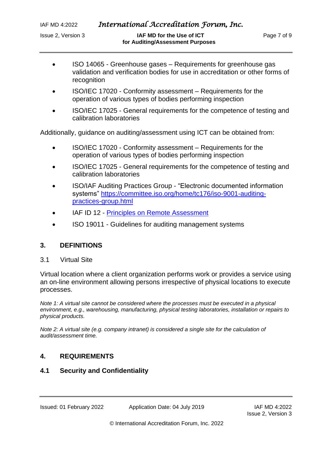**ISSUE 2, Version 3 IAF MD for the Use of ICT Page 7 of 9 for Auditing/Assessment Purposes**

- ISO 14065 Greenhouse gases Requirements for greenhouse gas validation and verification bodies for use in accreditation or other forms of recognition
- ISO/IEC 17020 Conformity assessment Requirements for the operation of various types of bodies performing inspection
- ISO/IEC 17025 General requirements for the competence of testing and calibration laboratories

Additionally, guidance on auditing/assessment using ICT can be obtained from:

- ISO/IEC 17020 Conformity assessment Requirements for the operation of various types of bodies performing inspection
- ISO/IEC 17025 General requirements for the competence of testing and calibration laboratories
- ISO/IAF Auditing Practices Group "Electronic documented information systems" [https://committee.iso.org/home/tc176/iso-9001-auditing](https://committee.iso.org/home/tc176/iso-9001-auditing-practices-group.html)[practices-group.html](https://committee.iso.org/home/tc176/iso-9001-auditing-practices-group.html)
- IAF ID 12 [Principles on Remote Assessment](https://www.iaf.nu/iaf_system/uploads/documents/IAFID12PrinciplesRemoteAssessment22122015.pdf)
- ISO 19011 Guidelines for auditing management systems

#### <span id="page-6-0"></span>**3. DEFINITIONS**

#### 3.1 Virtual Site

Virtual location where a client organization performs work or provides a service using an on-line environment allowing persons irrespective of physical locations to execute processes.

*Note 1: A virtual site cannot be considered where the processes must be executed in a physical environment, e.g., warehousing, manufacturing, physical testing laboratories, installation or repairs to physical products.* 

<span id="page-6-1"></span>*Note 2: A virtual site (e.g. company intranet) is considered a single site for the calculation of audit/assessment time.* 

#### **4. REQUIREMENTS**

#### **4.1 Security and Confidentiality**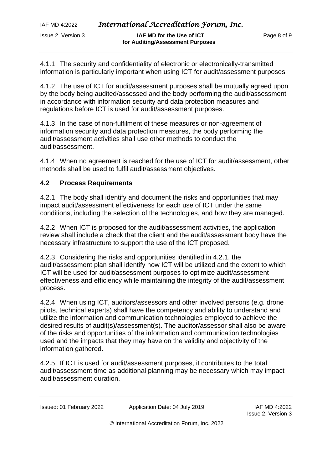Issue 2, Version 3 **IAF MD for the Use of ICT** Page 8 of 9  **for Auditing/Assessment Purposes**

4.1.1 The security and confidentiality of electronic or electronically-transmitted information is particularly important when using ICT for audit/assessment purposes.

4.1.2 The use of ICT for audit/assessment purposes shall be mutually agreed upon by the body being audited/assessed and the body performing the audit/assessment in accordance with information security and data protection measures and regulations before ICT is used for audit/assessment purposes.

4.1.3 In the case of non-fulfilment of these measures or non-agreement of information security and data protection measures, the body performing the audit/assessment activities shall use other methods to conduct the audit/assessment.

4.1.4 When no agreement is reached for the use of ICT for audit/assessment, other methods shall be used to fulfil audit/assessment objectives.

### **4.2 Process Requirements**

4.2.1 The body shall identify and document the risks and opportunities that may impact audit/assessment effectiveness for each use of ICT under the same conditions, including the selection of the technologies, and how they are managed.

4.2.2 When ICT is proposed for the audit/assessment activities, the application review shall include a check that the client and the audit/assessment body have the necessary infrastructure to support the use of the ICT proposed.

4.2.3 Considering the risks and opportunities identified in 4.2.1, the audit/assessment plan shall identify how ICT will be utilized and the extent to which ICT will be used for audit/assessment purposes to optimize audit/assessment effectiveness and efficiency while maintaining the integrity of the audit/assessment process.

4.2.4 When using ICT, auditors/assessors and other involved persons (e.g. drone pilots, technical experts) shall have the competency and ability to understand and utilize the information and communication technologies employed to achieve the desired results of audit(s)/assessment(s). The auditor/assessor shall also be aware of the risks and opportunities of the information and communication technologies used and the impacts that they may have on the validity and objectivity of the information gathered.

4.2.5 If ICT is used for audit/assessment purposes, it contributes to the total audit/assessment time as additional planning may be necessary which may impact audit/assessment duration.